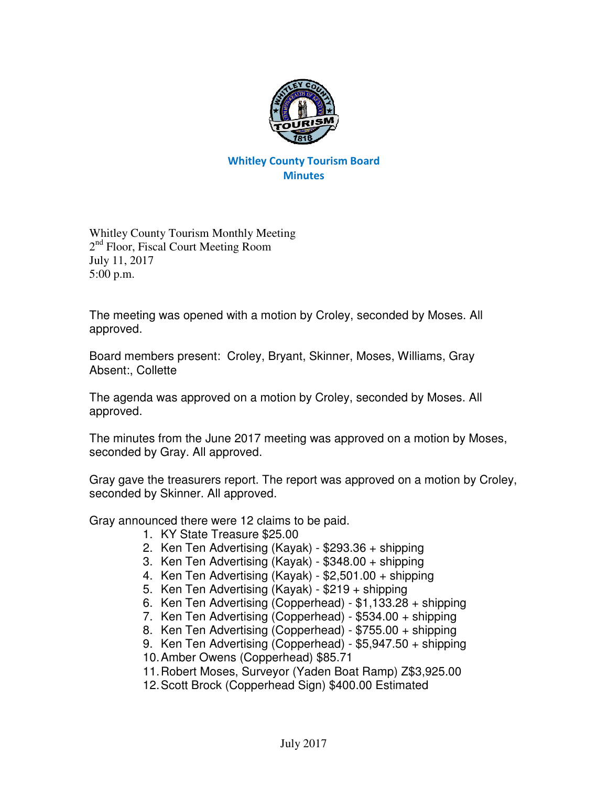

## Whitley County Tourism Board **Minutes**

Whitley County Tourism Monthly Meeting 2<sup>nd</sup> Floor, Fiscal Court Meeting Room July 11, 2017 5:00 p.m.

The meeting was opened with a motion by Croley, seconded by Moses. All approved.

Board members present: Croley, Bryant, Skinner, Moses, Williams, Gray Absent:, Collette

The agenda was approved on a motion by Croley, seconded by Moses. All approved.

The minutes from the June 2017 meeting was approved on a motion by Moses, seconded by Gray. All approved.

Gray gave the treasurers report. The report was approved on a motion by Croley, seconded by Skinner. All approved.

Gray announced there were 12 claims to be paid.

- 1. KY State Treasure \$25.00
- 2. Ken Ten Advertising (Kayak) \$293.36 + shipping
- 3. Ken Ten Advertising (Kayak) \$348.00 + shipping
- 4. Ken Ten Advertising (Kayak) \$2,501.00 + shipping
- 5. Ken Ten Advertising (Kayak) \$219 + shipping
- 6. Ken Ten Advertising (Copperhead) \$1,133.28 + shipping
- 7. Ken Ten Advertising (Copperhead) \$534.00 + shipping
- 8. Ken Ten Advertising (Copperhead) \$755.00 + shipping
- 9. Ken Ten Advertising (Copperhead) \$5,947.50 + shipping
- 10. Amber Owens (Copperhead) \$85.71
- 11. Robert Moses, Surveyor (Yaden Boat Ramp) Z\$3,925.00
- 12. Scott Brock (Copperhead Sign) \$400.00 Estimated